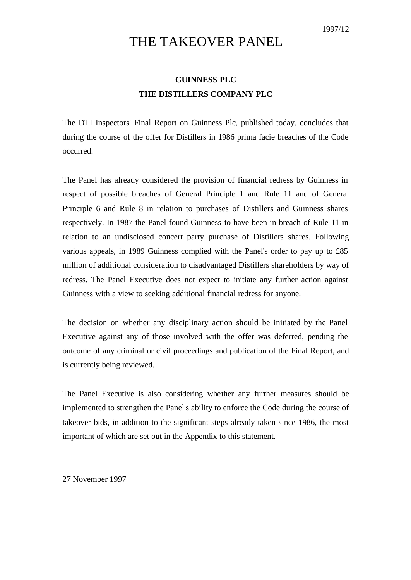# THE TAKEOVER PANEL

## **GUINNESS PLC THE DISTILLERS COMPANY PLC**

The DTI Inspectors' Final Report on Guinness Plc, published today, concludes that during the course of the offer for Distillers in 1986 prima facie breaches of the Code occurred.

The Panel has already considered the provision of financial redress by Guinness in respect of possible breaches of General Principle 1 and Rule 11 and of General Principle 6 and Rule 8 in relation to purchases of Distillers and Guinness shares respectively. In 1987 the Panel found Guinness to have been in breach of Rule 11 in relation to an undisclosed concert party purchase of Distillers shares. Following various appeals, in 1989 Guinness complied with the Panel's order to pay up to £85 million of additional consideration to disadvantaged Distillers shareholders by way of redress. The Panel Executive does not expect to initiate any further action against Guinness with a view to seeking additional financial redress for anyone.

The decision on whether any disciplinary action should be initiated by the Panel Executive against any of those involved with the offer was deferred, pending the outcome of any criminal or civil proceedings and publication of the Final Report, and is currently being reviewed.

The Panel Executive is also considering whether any further measures should be implemented to strengthen the Panel's ability to enforce the Code during the course of takeover bids, in addition to the significant steps already taken since 1986, the most important of which are set out in the Appendix to this statement.

27 November 1997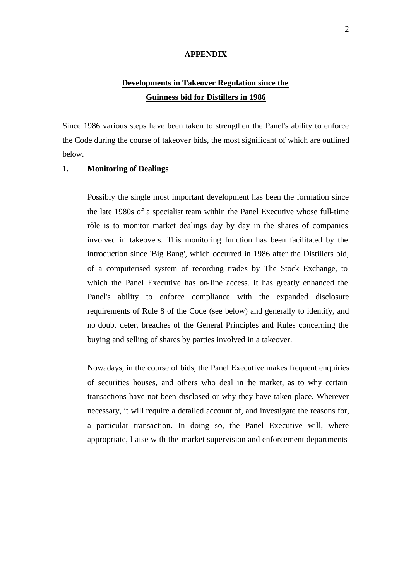#### **APPENDIX**

### **Developments in Takeover Regulation since the Guinness bid for Distillers in 1986**

Since 1986 various steps have been taken to strengthen the Panel's ability to enforce the Code during the course of takeover bids, the most significant of which are outlined below.

### **1. Monitoring of Dealings**

Possibly the single most important development has been the formation since the late 1980s of a specialist team within the Panel Executive whose full-time rôle is to monitor market dealings day by day in the shares of companies involved in takeovers. This monitoring function has been facilitated by the introduction since 'Big Bang', which occurred in 1986 after the Distillers bid, of a computerised system of recording trades by The Stock Exchange, to which the Panel Executive has on-line access. It has greatly enhanced the Panel's ability to enforce compliance with the expanded disclosure requirements of Rule 8 of the Code (see below) and generally to identify, and no doubt deter, breaches of the General Principles and Rules concerning the buying and selling of shares by parties involved in a takeover.

Nowadays, in the course of bids, the Panel Executive makes frequent enquiries of securities houses, and others who deal in the market, as to why certain transactions have not been disclosed or why they have taken place. Wherever necessary, it will require a detailed account of, and investigate the reasons for, a particular transaction. In doing so, the Panel Executive will, where appropriate, liaise with the market supervision and enforcement departments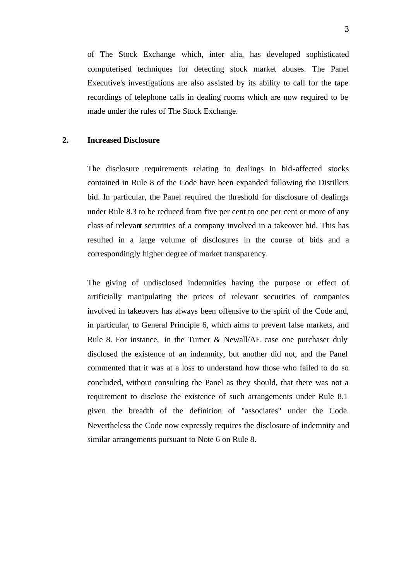of The Stock Exchange which, inter alia, has developed sophisticated computerised techniques for detecting stock market abuses. The Panel Executive's investigations are also assisted by its ability to call for the tape recordings of telephone calls in dealing rooms which are now required to be made under the rules of The Stock Exchange.

### **2. Increased Disclosure**

The disclosure requirements relating to dealings in bid-affected stocks contained in Rule 8 of the Code have been expanded following the Distillers bid. In particular, the Panel required the threshold for disclosure of dealings under Rule 8.3 to be reduced from five per cent to one per cent or more of any class of relevant securities of a company involved in a takeover bid. This has resulted in a large volume of disclosures in the course of bids and a correspondingly higher degree of market transparency.

The giving of undisclosed indemnities having the purpose or effect of artificially manipulating the prices of relevant securities of companies involved in takeovers has always been offensive to the spirit of the Code and, in particular, to General Principle 6, which aims to prevent false markets, and Rule 8. For instance, in the Turner & Newall/AE case one purchaser duly disclosed the existence of an indemnity, but another did not, and the Panel commented that it was at a loss to understand how those who failed to do so concluded, without consulting the Panel as they should, that there was not a requirement to disclose the existence of such arrangements under Rule 8.1 given the breadth of the definition of "associates" under the Code. Nevertheless the Code now expressly requires the disclosure of indemnity and similar arrangements pursuant to Note 6 on Rule 8.